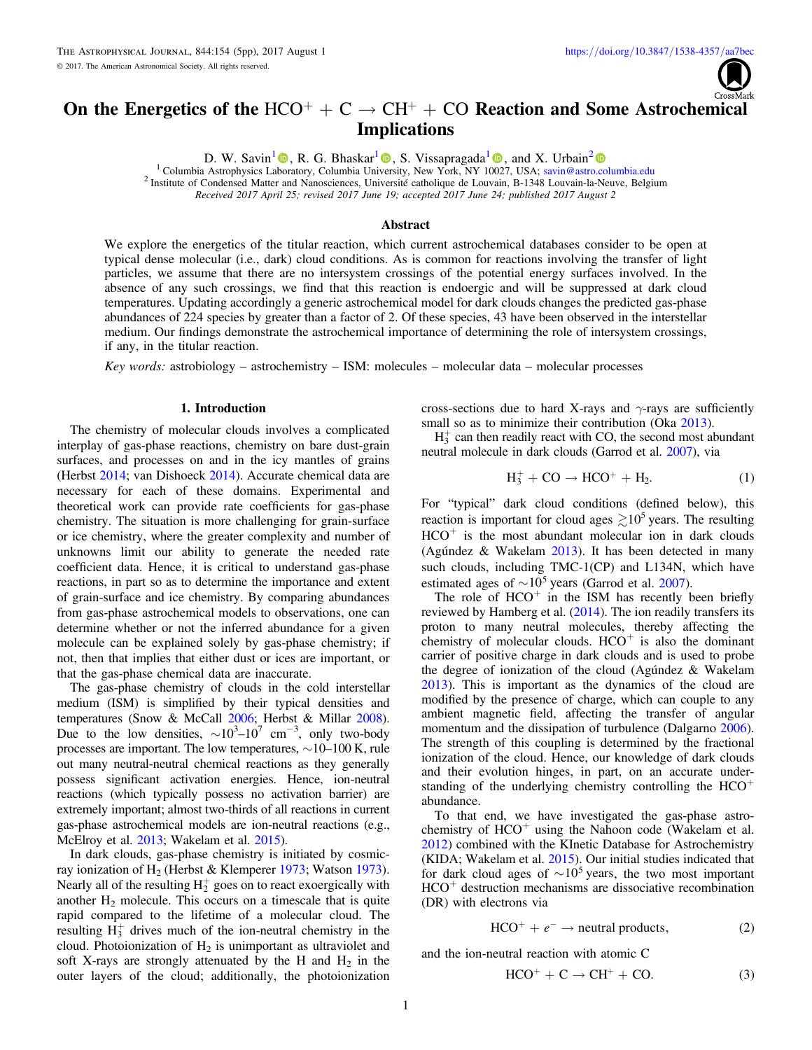# <span id="page-0-0"></span>On the Energetics of the  $HCO^+ + C \rightarrow CH^+ + CO$  Reaction and Some Astrochemical **Implications**

D. W. Savin<sup>[1](https://orcid.org/0000-0003-2527-1475)</sup> **.**[,](https://orcid.org/0000-0002-1111-6610) R. G. Bhaskar<sup>1</sup> **.**, S. Vissapragada<sup>1</sup> **.**, and X. Urbain<sup>[2](https://orcid.org/0000-0003-3326-8823)</sup> **.** Columbia Astrophysics Laboratory, Columbia University, New York, NY 10027, USA; savin @astro.columbia.edu

<sup>2</sup> Institute of Condensed Matter and Nanosciences, Uni[ver](https://orcid.org/0000-0003-2035-604X)sité catholique de Louvain, B-1348 Louvain-la-Neuve, Belgium

Received 2017 April 25; revised 2017 June 19; accepted 2017 June 24; published 2017 August 2

## Abstract

We explore the energetics of the titular reaction, which current astrochemical databases consider to be open at typical dense molecular (i.e., dark) cloud conditions. As is common for reactions involving the transfer of light particles, we assume that there are no intersystem crossings of the potential energy surfaces involved. In the absence of any such crossings, we find that this reaction is endoergic and will be suppressed at dark cloud temperatures. Updating accordingly a generic astrochemical model for dark clouds changes the predicted gas-phase abundances of 224 species by greater than a factor of 2. Of these species, 43 have been observed in the interstellar medium. Our findings demonstrate the astrochemical importance of determining the role of intersystem crossings, if any, in the titular reaction.

Key words: astrobiology – astrochemistry – ISM: molecules – molecular data – molecular processes

### 1. Introduction

The chemistry of molecular clouds involves a complicated interplay of gas-phase reactions, chemistry on bare dust-grain surfaces, and processes on and in the icy mantles of grains (Herbst [2014](#page-4-0); van Dishoeck [2014](#page-4-0)). Accurate chemical data are necessary for each of these domains. Experimental and theoretical work can provide rate coefficients for gas-phase chemistry. The situation is more challenging for grain-surface or ice chemistry, where the greater complexity and number of unknowns limit our ability to generate the needed rate coefficient data. Hence, it is critical to understand gas-phase reactions, in part so as to determine the importance and extent of grain-surface and ice chemistry. By comparing abundances from gas-phase astrochemical models to observations, one can determine whether or not the inferred abundance for a given molecule can be explained solely by gas-phase chemistry; if not, then that implies that either dust or ices are important, or that the gas-phase chemical data are inaccurate.

The gas-phase chemistry of clouds in the cold interstellar medium (ISM) is simplified by their typical densities and temperatures (Snow & McCall [2006;](#page-4-0) Herbst & Millar [2008](#page-4-0)). Due to the low densities,  $\sim 10^3 - 10^7$  cm<sup>-3</sup>, only two-body processes are important. The low temperatures, ∼10–100 K, rule out many neutral-neutral chemical reactions as they generally possess significant activation energies. Hence, ion-neutral reactions (which typically possess no activation barrier) are extremely important; almost two-thirds of all reactions in current gas-phase astrochemical models are ion-neutral reactions (e.g., McElroy et al. [2013;](#page-4-0) Wakelam et al. [2015](#page-4-0)).

In dark clouds, gas-phase chemistry is initiated by cosmicray ionization of  $H_2$  (Herbst & Klemperer [1973;](#page-4-0) Watson [1973](#page-4-0)). Nearly all of the resulting  $H_2^+$  goes on to react exoergically with another  $H_2$  molecule. This occurs on a timescale that is quite rapid compared to the lifetime of a molecular cloud. The resulting  $\dot{H}_3^+$  drives much of the ion-neutral chemistry in the cloud. Photoionization of  $H_2$  is unimportant as ultraviolet and soft X-rays are strongly attenuated by the H and  $H_2$  in the outer layers of the cloud; additionally, the photoionization

cross-sections due to hard X-rays and  $\gamma$ -rays are sufficiently small so as to minimize their contribution (Oka [2013](#page-4-0)).

 $H_3^+$  can then readily react with CO, the second most abundant neutral molecule in dark clouds (Garrod et al. [2007](#page-4-0)), via

$$
H_3^+ + CO \rightarrow HCO^+ + H_2. \tag{1}
$$

For "typical" dark cloud conditions (defined below), this reaction is important for cloud ages  $\geq 10^5$  years. The resulting  $HCO<sup>+</sup>$  is the most abundant molecular ion in dark clouds (Agúndez & Wakelam [2013](#page-4-0)). It has been detected in many such clouds, including TMC-1(CP) and L134N, which have estimated ages of  $\sim 10^5$  years (Garrod et al. [2007](#page-4-0)).

The role of  $HCO<sup>+</sup>$  in the ISM has recently been briefly reviewed by Hamberg et al. ([2014](#page-4-0)). The ion readily transfers its proton to many neutral molecules, thereby affecting the chemistry of molecular clouds.  $HCO<sup>+</sup>$  is also the dominant carrier of positive charge in dark clouds and is used to probe the degree of ionization of the cloud (Agúndez & Wakelam [2013](#page-4-0)). This is important as the dynamics of the cloud are modified by the presence of charge, which can couple to any ambient magnetic field, affecting the transfer of angular momentum and the dissipation of turbulence (Dalgarno [2006](#page-4-0)). The strength of this coupling is determined by the fractional ionization of the cloud. Hence, our knowledge of dark clouds and their evolution hinges, in part, on an accurate understanding of the underlying chemistry controlling the  $HCO<sup>+</sup>$ abundance.

To that end, we have investigated the gas-phase astrochemistry of  $HCO<sup>+</sup>$  using the Nahoon code (Wakelam et al. [2012](#page-4-0)) combined with the KInetic Database for Astrochemistry (KIDA; Wakelam et al. [2015](#page-4-0)). Our initial studies indicated that for dark cloud ages of  $\sim 10^5$  years, the two most important  $HCO<sup>+</sup>$  destruction mechanisms are dissociative recombination (DR) with electrons via

$$
HCO^{+} + e^{-} \rightarrow neutral\ products,
$$
 (2)

and the ion-neutral reaction with atomic C

$$
HCO^+ + C \rightarrow CH^+ + CO.
$$
 (3)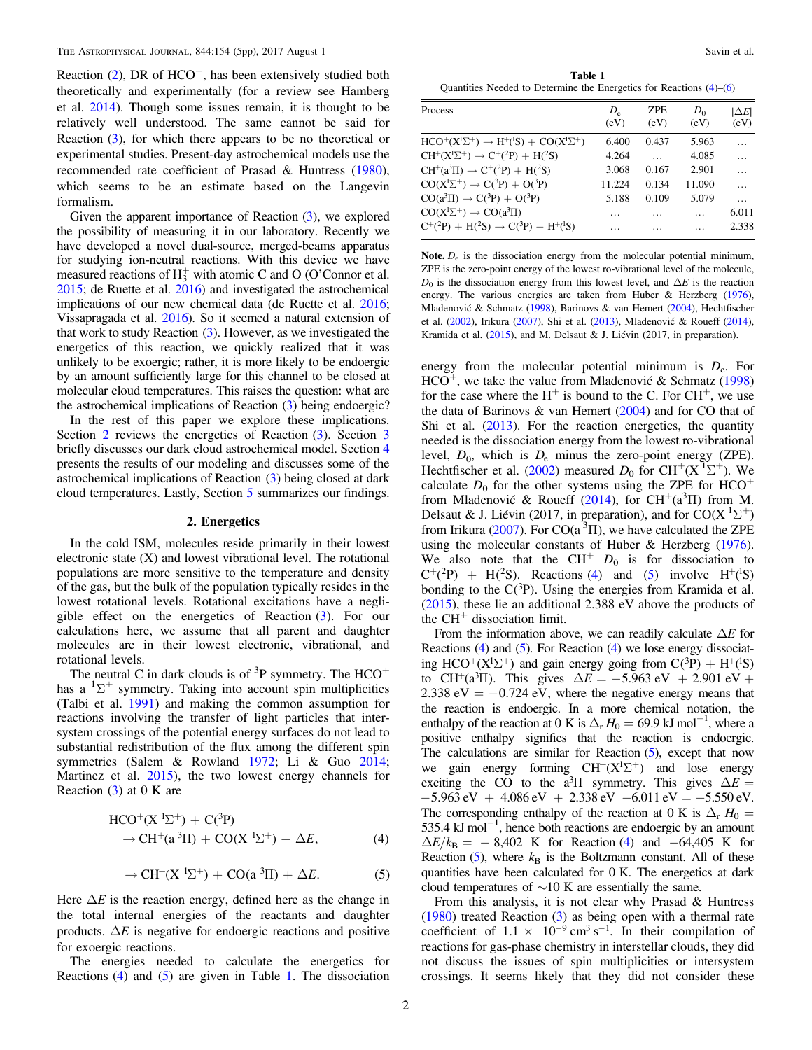<span id="page-1-0"></span>Reaction  $(2)$  $(2)$  $(2)$ , DR of HCO<sup>+</sup>, has been extensively studied both theoretically and experimentally (for a review see Hamberg et al. [2014](#page-4-0)). Though some issues remain, it is thought to be relatively well understood. The same cannot be said for Reaction ([3](#page-0-0)), for which there appears to be no theoretical or experimental studies. Present-day astrochemical models use the recommended rate coefficient of Prasad & Huntress ([1980](#page-4-0)), which seems to be an estimate based on the Langevin formalism.

Given the apparent importance of Reaction ([3](#page-0-0)), we explored the possibility of measuring it in our laboratory. Recently we have developed a novel dual-source, merged-beams apparatus for studying ion-neutral reactions. With this device we have measured reactions of  $H_3^+$  with atomic C and O (O'Connor et al. [2015](#page-4-0); de Ruette et al. [2016](#page-4-0)) and investigated the astrochemical implications of our new chemical data (de Ruette et al. [2016](#page-4-0); Vissapragada et al. [2016](#page-4-0)). So it seemed a natural extension of that work to study Reaction ([3](#page-0-0)). However, as we investigated the energetics of this reaction, we quickly realized that it was unlikely to be exoergic; rather, it is more likely to be endoergic by an amount sufficiently large for this channel to be closed at molecular cloud temperatures. This raises the question: what are the astrochemical implications of Reaction ([3](#page-0-0)) being endoergic?

In the rest of this paper we explore these implications. Section 2 reviews the energetics of Reaction  $(3)$  $(3)$  $(3)$ . Section 3 briefly discusses our dark cloud astrochemical model. Section [4](#page-2-0) presents the results of our modeling and discusses some of the astrochemical implications of Reaction ([3](#page-0-0)) being closed at dark cloud temperatures. Lastly, Section [5](#page-3-0) summarizes our findings.

#### 2. Energetics

In the cold ISM, molecules reside primarily in their lowest electronic state (X) and lowest vibrational level. The rotational populations are more sensitive to the temperature and density of the gas, but the bulk of the population typically resides in the lowest rotational levels. Rotational excitations have a negligible effect on the energetics of Reaction ([3](#page-0-0)). For our calculations here, we assume that all parent and daughter molecules are in their lowest electronic, vibrational, and rotational levels.

The neutral C in dark clouds is of  ${}^{3}P$  symmetry. The HCO<sup>+</sup> has a  ${}^{1}\Sigma^{+}$  symmetry. Taking into account spin multiplicities (Talbi et al. [1991](#page-4-0)) and making the common assumption for reactions involving the transfer of light particles that intersystem crossings of the potential energy surfaces do not lead to substantial redistribution of the flux among the different spin symmetries (Salem & Rowland [1972](#page-4-0); Li & Guo [2014](#page-4-0); Martinez et al. [2015](#page-4-0)), the two lowest energy channels for Reaction  $(3)$  $(3)$  $(3)$  at 0 K are

$$
HCO^{+}(X^{1}\Sigma^{+}) + C(^{3}P)
$$
  
\n
$$
\rightarrow CH^{+}(a^{3}\Pi) + CO(X^{1}\Sigma^{+}) + \Delta E,
$$
\n(4)

$$
\rightarrow CH^{+}(X^{1}\Sigma^{+}) + CO(a^{3}\Pi) + \Delta E. \tag{5}
$$

Here  $\Delta E$  is the reaction energy, defined here as the change in the total internal energies of the reactants and daughter products.  $\Delta E$  is negative for endoergic reactions and positive for exoergic reactions.

The energies needed to calculate the energetics for Reactions (4) and (5) are given in Table 1. The dissociation

Table 1 Quantities Needed to Determine the Energetics for Reactions (4)–([6](#page-2-0))

| <b>Process</b>                                              | $D_{\rm e}$ | <b>ZPE</b> | $D_0$  | $ \Delta E $ |
|-------------------------------------------------------------|-------------|------------|--------|--------------|
|                                                             | (eV)        | (eV)       | (eV)   | (eV)         |
| $HCO^+(X^1\Sigma^+) \rightarrow H^+(^1S) + CO(X^1\Sigma^+)$ | 6.400       | 0.437      | 5.963  | .            |
| $CH^+(X^1\Sigma^+) \rightarrow C^+(2P) + H(^2S)$            | 4.264       |            | 4.085  | .            |
| $CH^+(a^3\Pi) \rightarrow C^+(2P) + H(^2S)$                 | 3.068       | 0.167      | 2.901  |              |
| $CO(X^1\Sigma^+) \rightarrow C(^3P) + O(^3P)$               | 11.224      | 0.134      | 11.090 | .            |
| $CO(a^3\Pi) \rightarrow C(^3P) + O(^3P)$                    | 5.188       | 0.109      | 5.079  | .            |
| $CO(X^1\Sigma^+) \rightarrow CO(a^3\Pi)$                    | .           |            | .      | 6.011        |
| $C^+(^2P) + H(^2S) \rightarrow C(^3P) + H^+(^1S)$           |             |            |        | 2.338        |

Note.  $D_e$  is the dissociation energy from the molecular potential minimum, ZPE is the zero-point energy of the lowest ro-vibrational level of the molecule,  $D_0$  is the dissociation energy from this lowest level, and  $\Delta E$  is the reaction energy. The various energies are taken from Huber & Herzberg ([1976](#page-4-0)), Mladenović & Schmatz ([1998](#page-4-0)), Barinovs & van Hemert ([2004](#page-4-0)), Hechtfischer et al. ([2002](#page-4-0)), Irikura ([2007](#page-4-0)), Shi et al. ([2013](#page-4-0)), Mladenović & Roueff ([2014](#page-4-0)), Kramida et al. ([2015](#page-4-0)), and M. Delsaut & J. Liévin (2017, in preparation).

energy from the molecular potential minimum is  $D_e$ . For  $HCO<sup>+</sup>$ , we take the value from Mladenović & Schmatz ([1998](#page-4-0)) for the case where the  $H^+$  is bound to the C. For CH<sup>+</sup>, we use the data of Barinovs  $\&$  van Hemert ([2004](#page-4-0)) and for CO that of Shi et al.  $(2013)$  $(2013)$  $(2013)$ . For the reaction energetics, the quantity needed is the dissociation energy from the lowest ro-vibrational level,  $D_0$ , which is  $D_e$  minus the zero-point energy (ZPE). Hechtfischer et al. ([2002](#page-4-0)) measured  $D_0$  for CH<sup>+</sup>(X<sup>T</sup> $\Sigma$ <sup>+</sup>). We calculate  $D_0$  for the other systems using the ZPE for HCO<sup>+</sup> from Mladenović & Roueff ([2014](#page-4-0)), for  $CH^+(a^3\Pi)$  from M. Delsaut & J. Liévin (2017, in preparation), and for  $CO(X<sup>1</sup>\Sigma<sup>+</sup>)$ from Irikura ([2007](#page-4-0)). For  $CO(a^3\Pi)$ , we have calculated the ZPE using the molecular constants of Huber & Herzberg ([1976](#page-4-0)). We also note that the  $CH^+$   $D_0$  is for dissociation to  $C^{+}(^2P)$  + H(<sup>2</sup>S). Reactions (4) and (5) involve H<sup>+</sup>(<sup>1</sup>S) bonding to the  $C(^3P)$ . Using the energies from Kramida et al. ([2015](#page-4-0)), these lie an additional 2.388 eV above the products of the  $CH<sup>+</sup>$  dissociation limit.

From the information above, we can readily calculate  $\Delta E$  for Reactions (4) and (5). For Reaction (4) we lose energy dissociating HCO<sup>+</sup>(X<sup>1</sup> $\Sigma$ <sup>+</sup>) and gain energy going from C(<sup>3</sup>P) + H<sup>+</sup>(<sup>1</sup>S) to CH<sup>+</sup>(a<sup>3</sup>II). This gives  $\Delta E = -5.963 \text{ eV} + 2.901 \text{ eV} +$ 2.338 eV  $= -0.724$  eV, where the negative energy means that the reaction is endoergic. In a more chemical notation, the enthalpy of the reaction at 0 K is  $\Delta_{\rm r} H_0 = 69.9 \text{ kJ} \text{ mol}^{-1}$ , where a positive enthalpy signifies that the reaction is endoergic. The calculations are similar for Reaction  $(5)$ , except that now we gain energy forming  $CH^+(X^1\Sigma^+)$  and lose energy exciting the CO to the a<sup>3</sup>II symmetry. This gives  $\Delta E =$  $-5.963 \text{ eV} + 4.086 \text{ eV} + 2.338 \text{ eV} -6.011 \text{ eV} = -5.550 \text{ eV}.$ The corresponding enthalpy of the reaction at 0 K is  $\Delta_{\rm r} H_0 =$ 535.4 kJ mol−<sup>1</sup> , hence both reactions are endoergic by an amount  $\Delta E/k_B = -8,402$  K for Reaction (4) and −64,405 K for Reaction  $(5)$ , where  $k_B$  is the Boltzmann constant. All of these quantities have been calculated for 0 K. The energetics at dark cloud temperatures of ∼10 K are essentially the same.

From this analysis, it is not clear why Prasad & Huntress ([1980](#page-4-0)) treated Reaction ([3](#page-0-0)) as being open with a thermal rate coefficient of  $1.1 \times 10^{-9}$  cm<sup>3</sup> s<sup>-1</sup>. In their compilation of reactions for gas-phase chemistry in interstellar clouds, they did not discuss the issues of spin multiplicities or intersystem crossings. It seems likely that they did not consider these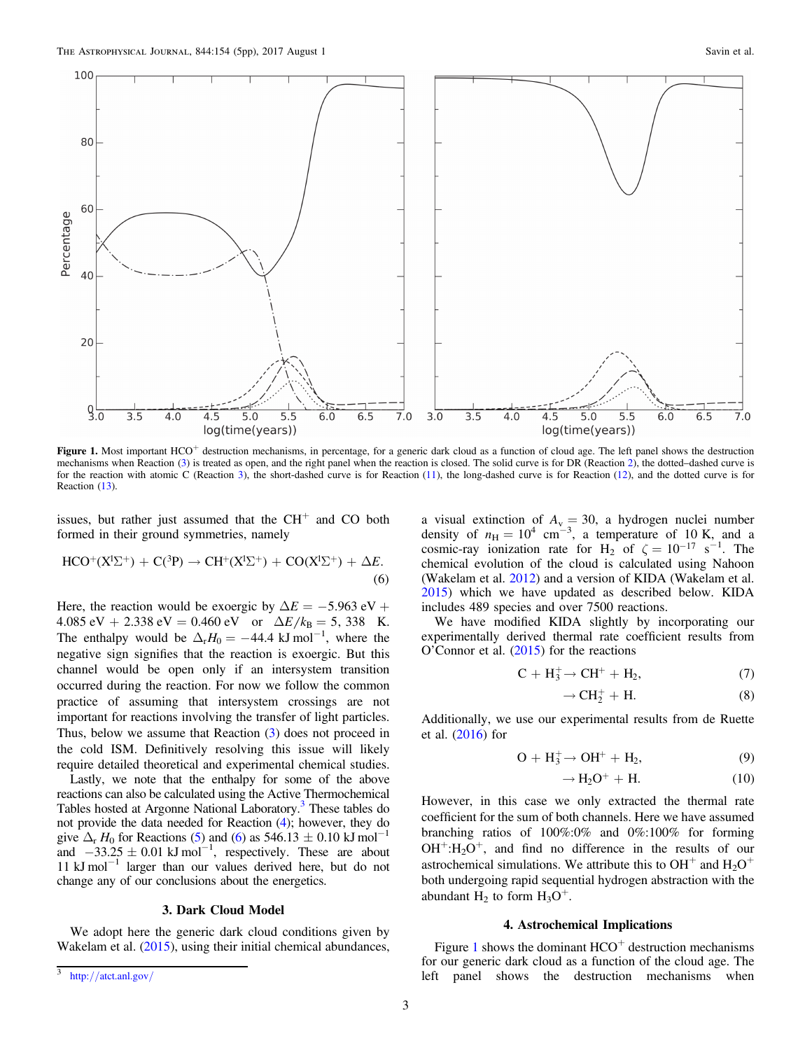<span id="page-2-0"></span>

Figure 1. Most important HCO<sup>+</sup> destruction mechanisms, in percentage, for a generic dark cloud as a function of cloud age. The left panel shows the destruction mechanisms when Reaction ([3](#page-0-0)) is treated as open, and the right panel when the reaction is closed. The solid curve is for DR (Reaction [2](#page-0-0)), the dotted–dashed curve is for the reaction with atomic C (Reaction [3](#page-0-0)), the short-dashed curve is for Reaction ([11](#page-3-0)), the long-dashed curve is for Reaction ([12](#page-3-0)), and the dotted curve is for Reaction ([13](#page-3-0)).

issues, but rather just assumed that the  $CH<sup>+</sup>$  and CO both formed in their ground symmetries, namely

$$
HCO^{+}(X^{1}\Sigma^{+}) + C(^{3}P) \rightarrow CH^{+}(X^{1}\Sigma^{+}) + CO(X^{1}\Sigma^{+}) + \Delta E.
$$
\n(6)

Here, the reaction would be exoergic by  $\Delta E = -5.963 \text{ eV} +$ 4.085 eV + 2.338 eV = 0.460 eV or  $\Delta E/k_B = 5$ , 338 K. The enthalpy would be  $\Delta_{\rm r} H_0 = -44.4 \text{ kJ} \text{ mol}^{-1}$ , where the negative sign signifies that the reaction is exoergic. But this channel would be open only if an intersystem transition occurred during the reaction. For now we follow the common practice of assuming that intersystem crossings are not important for reactions involving the transfer of light particles. Thus, below we assume that Reaction  $(3)$  $(3)$  $(3)$  does not proceed in the cold ISM. Definitively resolving this issue will likely require detailed theoretical and experimental chemical studies.

Lastly, we note that the enthalpy for some of the above reactions can also be calculated using the Active Thermochemical Tables hosted at Argonne National Laboratory.<sup>3</sup> These tables do not provide the data needed for Reaction ([4](#page-1-0)); however, they do give  $\Delta_{\rm r}$  H<sub>0</sub> for Reactions ([5](#page-1-0)) and (6) as 546.13  $\pm$  0.10 kJ mol<sup>-1</sup> and  $-33.25 \pm 0.01 \text{ kJ} \text{ mol}^{-1}$ , respectively. These are about 11 kJ mol−<sup>1</sup> larger than our values derived here, but do not change any of our conclusions about the energetics.

#### 3. Dark Cloud Model

We adopt here the generic dark cloud conditions given by Wakelam et al. ([2015](#page-4-0)), using their initial chemical abundances,

a visual extinction of  $A_v = 30$ , a hydrogen nuclei number density of  $n_{\text{H}} = 10^4 \text{ cm}^{-3}$ , a temperature of 10 K, and a cosmic-ray ionization rate for H<sub>2</sub> of  $\zeta = 10^{-17} \text{ s}^{-1}$ . The chemical evolution of the cloud is calculated using Nahoon (Wakelam et al. [2012](#page-4-0)) and a version of KIDA (Wakelam et al. [2015](#page-4-0)) which we have updated as described below. KIDA includes 489 species and over 7500 reactions.

We have modified KIDA slightly by incorporating our experimentally derived thermal rate coefficient results from O'Connor et al. ([2015](#page-4-0)) for the reactions

$$
C + H_3^+ \rightarrow CH^+ + H_2,\tag{7}
$$

$$
\rightarrow CH_2^+ + H. \tag{8}
$$

Additionally, we use our experimental results from de Ruette et al. ([2016](#page-4-0)) for

$$
O + H_3^+ \rightarrow OH^+ + H_2,\tag{9}
$$

$$
\rightarrow H_2O^+ + H. \tag{10}
$$

However, in this case we only extracted the thermal rate coefficient for the sum of both channels. Here we have assumed branching ratios of 100%:0% and 0%:100% for forming  $OH^+:H_2O^+$ , and find no difference in the results of our astrochemical simulations. We attribute this to  $OH^+$  and  $H_2O^+$ both undergoing rapid sequential hydrogen abstraction with the abundant  $H_2$  to form  $H_3O^+$ .

#### 4. Astrochemical Implications

Figure 1 shows the dominant  $HCO<sup>+</sup>$  destruction mechanisms for our generic dark cloud as a function of the cloud age. The left panel shows the destruction mechanisms when

<sup>3</sup> http://[atct.anl.gov](http://atct.anl.gov/)/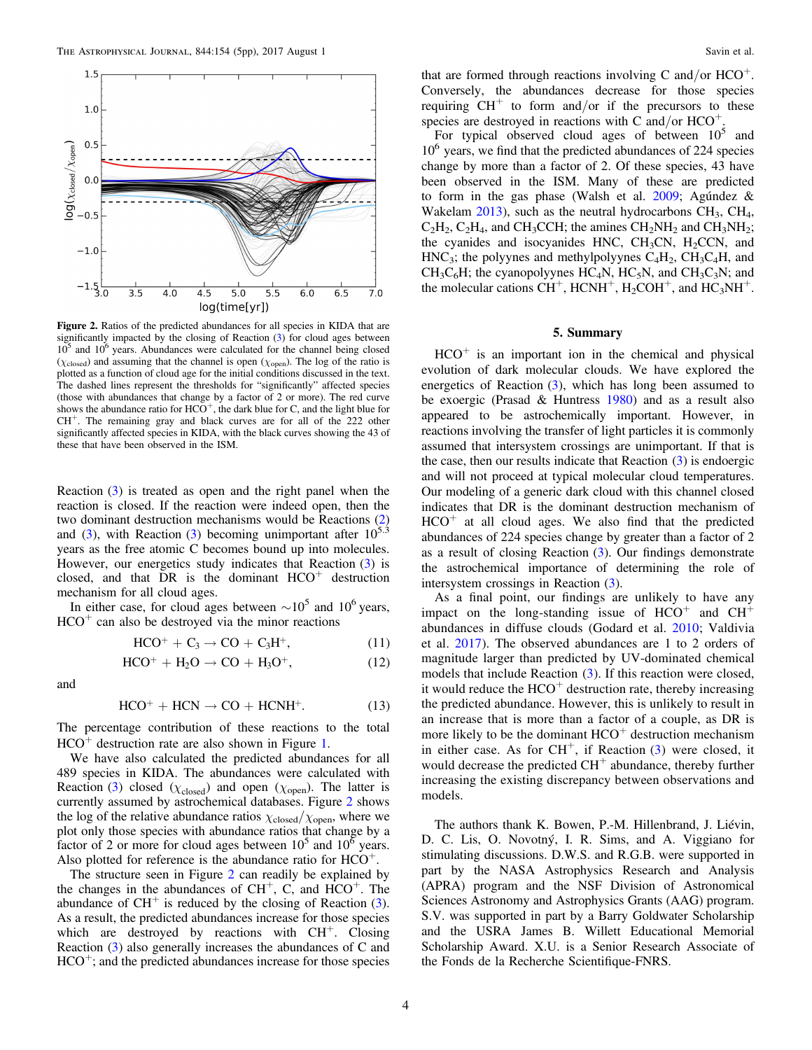<span id="page-3-0"></span>

Figure 2. Ratios of the predicted abundances for all species in KIDA that are significantly impacted by the closing of Reaction ([3](#page-0-0)) for cloud ages between  $10<sup>5</sup>$  and  $10<sup>6</sup>$  years. Abundances were calculated for the channel being closed ( $\chi_{\text{closed}}$ ) and assuming that the channel is open ( $\chi_{\text{open}}$ ). The log of the ratio is plotted as a function of cloud age for the initial conditions discussed in the text. The dashed lines represent the thresholds for "significantly" affected species (those with abundances that change by a factor of 2 or more). The red curve shows the abundance ratio for  $HCO^+$ , the dark blue for C, and the light blue for  $CH<sup>+</sup>$ . The remaining gray and black curves are for all of the 222 other significantly affected species in KIDA, with the black curves showing the 43 of these that have been observed in the ISM.

Reaction ([3](#page-0-0)) is treated as open and the right panel when the reaction is closed. If the reaction were indeed open, then the two dominant destruction mechanisms would be Reactions ([2](#page-0-0)) and ([3](#page-0-0)), with Reaction (3) becoming unimportant after  $10^{5.3}$ years as the free atomic C becomes bound up into molecules. However, our energetics study indicates that Reaction ([3](#page-0-0)) is closed, and that DR is the dominant  $HCO<sup>+</sup>$  destruction mechanism for all cloud ages.

In either case, for cloud ages between  $\sim 10^5$  and  $10^6$  years,  $HCO<sup>+</sup>$  can also be destroyed via the minor reactions

$$
HCO^+ + C_3 \rightarrow CO + C_3H^+, \tag{11}
$$

$$
HCO^+ + H_2O \rightarrow CO + H_3O^+, \qquad (12)
$$

and

$$
HCO^+ + HCN \rightarrow CO + HCNH^+. \tag{13}
$$

The percentage contribution of these reactions to the total  $HCO<sup>+</sup>$  destruction rate are also shown in Figure [1.](#page-2-0)

We have also calculated the predicted abundances for all 489 species in KIDA. The abundances were calculated with Reaction ([3](#page-0-0)) closed ( $\chi_{\text{closed}}$ ) and open ( $\chi_{\text{open}}$ ). The latter is currently assumed by astrochemical databases. Figure 2 shows the log of the relative abundance ratios  $\chi_{\text{closed}}/\chi_{\text{open}}$ , where we plot only those species with abundance ratios that change by a factor of 2 or more for cloud ages between  $10<sup>5</sup>$  and  $10<sup>6</sup>$  years. Also plotted for reference is the abundance ratio for  $HCO<sup>+</sup>$ .

The structure seen in Figure 2 can readily be explained by the changes in the abundances of  $CH^+$ , C, and  $HCO^+$ . The abundance of  $CH<sup>+</sup>$  is reduced by the closing of Reaction ([3](#page-0-0)). As a result, the predicted abundances increase for those species which are destroyed by reactions with  $CH<sup>+</sup>$ . Closing Reaction ([3](#page-0-0)) also generally increases the abundances of C and  $HCO<sup>+</sup>$ ; and the predicted abundances increase for those species that are formed through reactions involving C and/or  $HCO<sup>+</sup>$ . Conversely, the abundances decrease for those species requiring  $CH<sup>+</sup>$  to form and/or if the precursors to these species are destroyed in reactions with C and/or  $HCO<sup>+</sup>$ .

For typical observed cloud ages of between  $10<sup>5</sup>$  and  $10<sup>6</sup>$  years, we find that the predicted abundances of 224 species change by more than a factor of 2. Of these species, 43 have been observed in the ISM. Many of these are predicted to form in the gas phase (Walsh et al. [2009](#page-4-0); Agúndez & Wakelam  $2013$ ), such as the neutral hydrocarbons  $CH_3$ ,  $CH_4$ ,  $C_2H_2$ ,  $C_2H_4$ , and CH<sub>3</sub>CCH; the amines CH<sub>2</sub>NH<sub>2</sub> and CH<sub>3</sub>NH<sub>2</sub>; the cyanides and isocyanides HNC,  $CH<sub>3</sub>CN$ ,  $H<sub>2</sub>CCN$ , and  $HNC<sub>3</sub>$ ; the polyynes and methylpolyynes  $C<sub>4</sub>H<sub>2</sub>$ ,  $CH<sub>3</sub>C<sub>4</sub>H$ , and  $CH_3C_6H$ ; the cyanopolyynes  $HC_4N$ ,  $HC_5N$ , and  $CH_3C_3N$ ; and the molecular cations  $CH^+$ ,  $HCNH^+$ ,  $H_2COH^+$ , and  $HC_3NH^+$ .

#### 5. Summary

 $HCO<sup>+</sup>$  is an important ion in the chemical and physical evolution of dark molecular clouds. We have explored the energetics of Reaction ([3](#page-0-0)), which has long been assumed to be exoergic (Prasad & Huntress [1980](#page-4-0)) and as a result also appeared to be astrochemically important. However, in reactions involving the transfer of light particles it is commonly assumed that intersystem crossings are unimportant. If that is the case, then our results indicate that Reaction ([3](#page-0-0)) is endoergic and will not proceed at typical molecular cloud temperatures. Our modeling of a generic dark cloud with this channel closed indicates that DR is the dominant destruction mechanism of  $HCO<sup>+</sup>$  at all cloud ages. We also find that the predicted abundances of 224 species change by greater than a factor of 2 as a result of closing Reaction  $(3)$  $(3)$  $(3)$ . Our findings demonstrate the astrochemical importance of determining the role of intersystem crossings in Reaction ([3](#page-0-0)).

As a final point, our findings are unlikely to have any impact on the long-standing issue of  $HCO<sup>+</sup>$  and  $CH<sup>+</sup>$ abundances in diffuse clouds (Godard et al. [2010](#page-4-0); Valdivia et al. [2017](#page-4-0)). The observed abundances are 1 to 2 orders of magnitude larger than predicted by UV-dominated chemical models that include Reaction ([3](#page-0-0)). If this reaction were closed, it would reduce the  $HCO<sup>+</sup>$  destruction rate, thereby increasing the predicted abundance. However, this is unlikely to result in an increase that is more than a factor of a couple, as DR is more likely to be the dominant  $HCO<sup>+</sup>$  destruction mechanism in either case. As for  $CH^+$ , if Reaction  $(3)$  $(3)$  $(3)$  were closed, it would decrease the predicted  $CH<sup>+</sup>$  abundance, thereby further increasing the existing discrepancy between observations and models.

The authors thank K. Bowen, P.-M. Hillenbrand, J. Liévin, D. C. Lis, O. Novotný, I. R. Sims, and A. Viggiano for stimulating discussions. D.W.S. and R.G.B. were supported in part by the NASA Astrophysics Research and Analysis (APRA) program and the NSF Division of Astronomical Sciences Astronomy and Astrophysics Grants (AAG) program. S.V. was supported in part by a Barry Goldwater Scholarship and the USRA James B. Willett Educational Memorial Scholarship Award. X.U. is a Senior Research Associate of the Fonds de la Recherche Scientifique-FNRS.